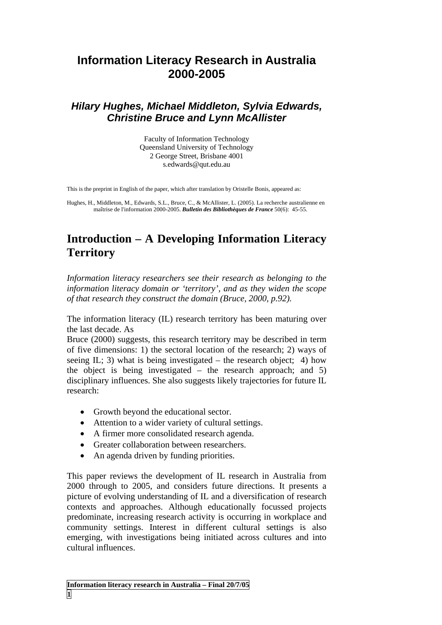# **Information Literacy Research in Australia 2000-2005**

### *Hilary Hughes, Michael Middleton, Sylvia Edwards, Christine Bruce and Lynn McAllister*

Faculty of Information Technology Queensland University of Technology 2 George Street, Brisbane 4001 s.edwards@qut.edu.au

This is the preprint in English of the paper, which after translation by Oristelle Bonis, appeared as:

Hughes, H., Middleton, M., Edwards, S.L., Bruce, C., & McAllister, L. (2005). La recherche australienne en maîtrise de l'information 2000-2005. *Bulletin des Bibliothèques de France* 50(6): 45-55.

## **Introduction – A Developing Information Literacy Territory**

*Information literacy researchers see their research as belonging to the information literacy domain or 'territory', and as they widen the scope of that research they construct the domain (Bruce, 2000, p.92).*

The information literacy (IL) research territory has been maturing over the last decade. As

Bruce (2000) suggests, this research territory may be described in term of five dimensions: 1) the sectoral location of the research; 2) ways of seeing IL; 3) what is being investigated – the research object; 4) how the object is being investigated – the research approach; and 5) disciplinary influences. She also suggests likely trajectories for future IL research:

- Growth beyond the educational sector.
- Attention to a wider variety of cultural settings.
- A firmer more consolidated research agenda.
- Greater collaboration between researchers.
- An agenda driven by funding priorities.

This paper reviews the development of IL research in Australia from 2000 through to 2005, and considers future directions. It presents a picture of evolving understanding of IL and a diversification of research contexts and approaches. Although educationally focussed projects predominate, increasing research activity is occurring in workplace and community settings. Interest in different cultural settings is also emerging, with investigations being initiated across cultures and into cultural influences.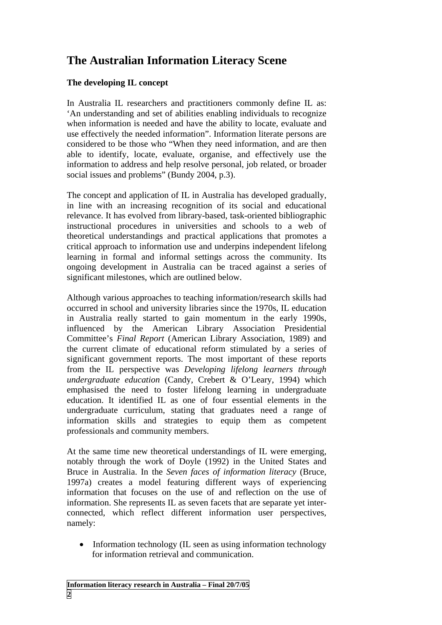# **The Australian Information Literacy Scene**

#### **The developing IL concept**

In Australia IL researchers and practitioners commonly define IL as: 'An understanding and set of abilities enabling individuals to recognize when information is needed and have the ability to locate, evaluate and use effectively the needed information". Information literate persons are considered to be those who "When they need information, and are then able to identify, locate, evaluate, organise, and effectively use the information to address and help resolve personal, job related, or broader social issues and problems" (Bundy 2004, p.3).

The concept and application of IL in Australia has developed gradually, in line with an increasing recognition of its social and educational relevance. It has evolved from library-based, task-oriented bibliographic instructional procedures in universities and schools to a web of theoretical understandings and practical applications that promotes a critical approach to information use and underpins independent lifelong learning in formal and informal settings across the community. Its ongoing development in Australia can be traced against a series of significant milestones, which are outlined below.

Although various approaches to teaching information/research skills had occurred in school and university libraries since the 1970s, IL education in Australia really started to gain momentum in the early 1990s, influenced by the American Library Association Presidential Committee's *Final Report* (American Library Association, 1989) and the current climate of educational reform stimulated by a series of significant government reports. The most important of these reports from the IL perspective was *Developing lifelong learners through undergraduate education* (Candy, Crebert & O'Leary, 1994) which emphasised the need to foster lifelong learning in undergraduate education. It identified IL as one of four essential elements in the undergraduate curriculum, stating that graduates need a range of information skills and strategies to equip them as competent professionals and community members.

At the same time new theoretical understandings of IL were emerging, notably through the work of Doyle (1992) in the United States and Bruce in Australia. In the *Seven faces of information literacy* (Bruce, 1997a) creates a model featuring different ways of experiencing information that focuses on the use of and reflection on the use of information. She represents IL as seven facets that are separate yet interconnected, which reflect different information user perspectives, namely:

• Information technology (IL seen as using information technology for information retrieval and communication.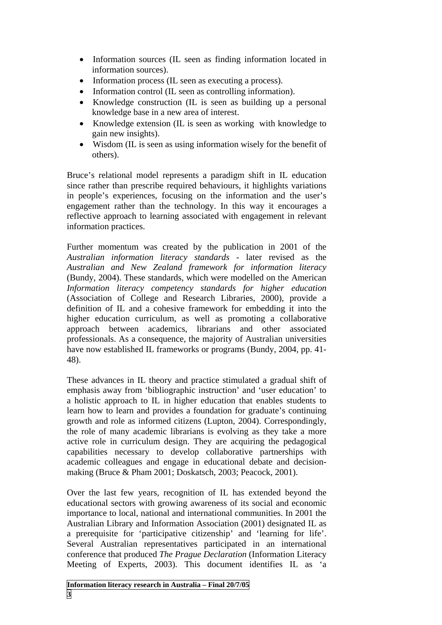- Information sources (IL seen as finding information located in information sources).
- Information process (IL seen as executing a process).
- Information control (IL seen as controlling information).
- Knowledge construction (IL is seen as building up a personal knowledge base in a new area of interest.
- Knowledge extension (IL is seen as working with knowledge to gain new insights).
- Wisdom (IL is seen as using information wisely for the benefit of others).

Bruce's relational model represents a paradigm shift in IL education since rather than prescribe required behaviours, it highlights variations in people's experiences, focusing on the information and the user's engagement rather than the technology. In this way it encourages a reflective approach to learning associated with engagement in relevant information practices.

Further momentum was created by the publication in 2001 of the *Australian information literacy standards* - later revised as the *Australian and New Zealand framework for information literacy* (Bundy, 2004). These standards, which were modelled on the American *Information literacy competency standards for higher education* (Association of College and Research Libraries, 2000), provide a definition of IL and a cohesive framework for embedding it into the higher education curriculum, as well as promoting a collaborative approach between academics, librarians and other associated professionals. As a consequence, the majority of Australian universities have now established IL frameworks or programs (Bundy, 2004, pp. 41- 48).

These advances in IL theory and practice stimulated a gradual shift of emphasis away from 'bibliographic instruction' and 'user education' to a holistic approach to IL in higher education that enables students to learn how to learn and provides a foundation for graduate's continuing growth and role as informed citizens (Lupton, 2004). Correspondingly, the role of many academic librarians is evolving as they take a more active role in curriculum design. They are acquiring the pedagogical capabilities necessary to develop collaborative partnerships with academic colleagues and engage in educational debate and decisionmaking (Bruce & Pham 2001; Doskatsch, 2003; Peacock, 2001).

Over the last few years, recognition of IL has extended beyond the educational sectors with growing awareness of its social and economic importance to local, national and international communities. In 2001 the Australian Library and Information Association (2001) designated IL as a prerequisite for 'participative citizenship' and 'learning for life'. Several Australian representatives participated in an international conference that produced *The Prague Declaration* (Information Literacy Meeting of Experts, 2003). This document identifies IL as 'a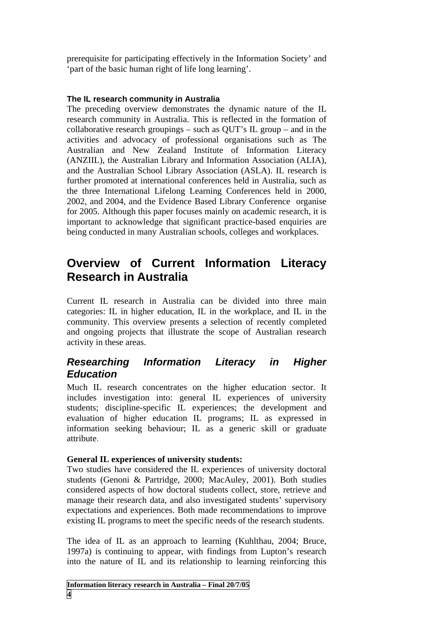prerequisite for participating effectively in the Information Society' and 'part of the basic human right of life long learning'.

### **The IL research community in Australia**

The preceding overview demonstrates the dynamic nature of the IL research community in Australia. This is reflected in the formation of collaborative research groupings – such as QUT's IL group – and in the activities and advocacy of professional organisations such as The Australian and New Zealand Institute of Information Literacy (ANZIIL), the Australian Library and Information Association (ALIA), and the Australian School Library Association (ASLA). IL research is further promoted at international conferences held in Australia, such as the three International Lifelong Learning Conferences held in 2000, 2002, and 2004, and the Evidence Based Library Conference organise for 2005. Although this paper focuses mainly on academic research, it is important to acknowledge that significant practice-based enquiries are being conducted in many Australian schools, colleges and workplaces.

# **Overview of Current Information Literacy Research in Australia**

Current IL research in Australia can be divided into three main categories: IL in higher education, IL in the workplace, and IL in the community. This overview presents a selection of recently completed and ongoing projects that illustrate the scope of Australian research activity in these areas.

## *Researching Information Literacy in Higher Education*

Much IL research concentrates on the higher education sector. It includes investigation into: general IL experiences of university students; discipline-specific IL experiences; the development and evaluation of higher education IL programs; IL as expressed in information seeking behaviour; IL as a generic skill or graduate attribute.

### **General IL experiences of university students:**

Two studies have considered the IL experiences of university doctoral students (Genoni & Partridge, 2000; MacAuley, 2001). Both studies considered aspects of how doctoral students collect, store, retrieve and manage their research data, and also investigated students' supervisory expectations and experiences. Both made recommendations to improve existing IL programs to meet the specific needs of the research students.

The idea of IL as an approach to learning (Kuhlthau, 2004; Bruce, 1997a) is continuing to appear, with findings from Lupton's research into the nature of IL and its relationship to learning reinforcing this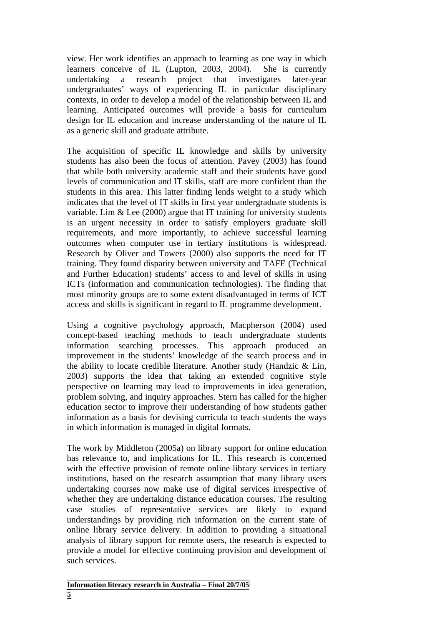view. Her work identifies an approach to learning as one way in which learners conceive of IL (Lupton, 2003, 2004). She is currently undertaking a research project that investigates later-year undergraduates' ways of experiencing IL in particular disciplinary contexts, in order to develop a model of the relationship between IL and learning. Anticipated outcomes will provide a basis for curriculum design for IL education and increase understanding of the nature of IL as a generic skill and graduate attribute.

The acquisition of specific IL knowledge and skills by university students has also been the focus of attention. Pavey (2003) has found that while both university academic staff and their students have good levels of communication and IT skills, staff are more confident than the students in this area. This latter finding lends weight to a study which indicates that the level of IT skills in first year undergraduate students is variable. Lim & Lee (2000) argue that IT training for university students is an urgent necessity in order to satisfy employers graduate skill requirements, and more importantly, to achieve successful learning outcomes when computer use in tertiary institutions is widespread. Research by Oliver and Towers (2000) also supports the need for IT training. They found disparity between university and TAFE (Technical and Further Education) students' access to and level of skills in using ICTs (information and communication technologies). The finding that most minority groups are to some extent disadvantaged in terms of ICT access and skills is significant in regard to IL programme development.

Using a cognitive psychology approach, Macpherson (2004) used concept-based teaching methods to teach undergraduate students information searching processes. This approach produced an improvement in the students' knowledge of the search process and in the ability to locate credible literature. Another study (Handzic & Lin, 2003) supports the idea that taking an extended cognitive style perspective on learning may lead to improvements in idea generation, problem solving, and inquiry approaches. Stern has called for the higher education sector to improve their understanding of how students gather information as a basis for devising curricula to teach students the ways in which information is managed in digital formats.

The work by Middleton (2005a) on library support for online education has relevance to, and implications for IL. This research is concerned with the effective provision of remote online library services in tertiary institutions, based on the research assumption that many library users undertaking courses now make use of digital services irrespective of whether they are undertaking distance education courses. The resulting case studies of representative services are likely to expand understandings by providing rich information on the current state of online library service delivery. In addition to providing a situational analysis of library support for remote users, the research is expected to provide a model for effective continuing provision and development of such services.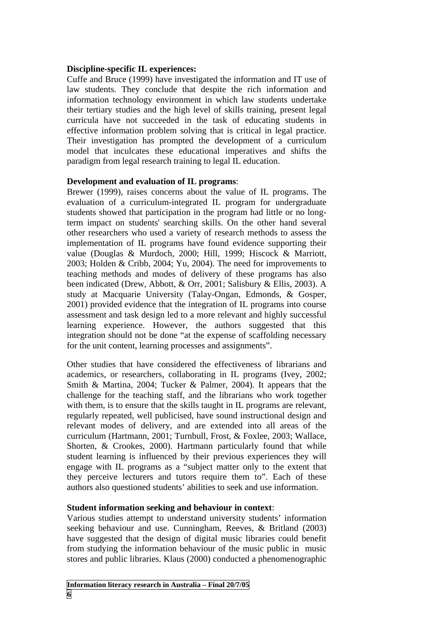#### **Discipline-specific IL experiences:**

Cuffe and Bruce (1999) have investigated the information and IT use of law students. They conclude that despite the rich information and information technology environment in which law students undertake their tertiary studies and the high level of skills training, present legal curricula have not succeeded in the task of educating students in effective information problem solving that is critical in legal practice. Their investigation has prompted the development of a curriculum model that inculcates these educational imperatives and shifts the paradigm from legal research training to legal IL education.

#### **Development and evaluation of IL programs**:

Brewer (1999), raises concerns about the value of IL programs. The evaluation of a curriculum-integrated IL program for undergraduate students showed that participation in the program had little or no longterm impact on students' searching skills. On the other hand several other researchers who used a variety of research methods to assess the implementation of IL programs have found evidence supporting their value (Douglas & Murdoch, 2000; Hill, 1999; Hiscock & Marriott, 2003; Holden & Cribb, 2004; Yu, 2004). The need for improvements to teaching methods and modes of delivery of these programs has also been indicated (Drew, Abbott, & Orr, 2001; Salisbury & Ellis, 2003). A study at Macquarie University (Talay-Ongan, Edmonds, & Gosper, 2001) provided evidence that the integration of IL programs into course assessment and task design led to a more relevant and highly successful learning experience. However, the authors suggested that this integration should not be done "at the expense of scaffolding necessary for the unit content, learning processes and assignments".

Other studies that have considered the effectiveness of librarians and academics, or researchers, collaborating in IL programs (Ivey, 2002; Smith & Martina, 2004; Tucker & Palmer, 2004). It appears that the challenge for the teaching staff, and the librarians who work together with them, is to ensure that the skills taught in IL programs are relevant, regularly repeated, well publicised, have sound instructional design and relevant modes of delivery, and are extended into all areas of the curriculum (Hartmann, 2001; Turnbull, Frost, & Foxlee, 2003; Wallace, Shorten, & Crookes, 2000). Hartmann particularly found that while student learning is influenced by their previous experiences they will engage with IL programs as a "subject matter only to the extent that they perceive lecturers and tutors require them to". Each of these authors also questioned students' abilities to seek and use information.

#### **Student information seeking and behaviour in context**:

Various studies attempt to understand university students' information seeking behaviour and use. Cunningham, Reeves, & Britland (2003) have suggested that the design of digital music libraries could benefit from studying the information behaviour of the music public in music stores and public libraries. Klaus (2000) conducted a phenomenographic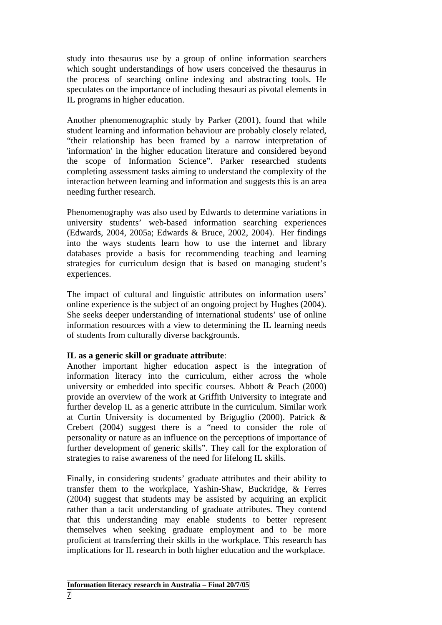study into thesaurus use by a group of online information searchers which sought understandings of how users conceived the thesaurus in the process of searching online indexing and abstracting tools. He speculates on the importance of including thesauri as pivotal elements in IL programs in higher education.

Another phenomenographic study by Parker (2001), found that while student learning and information behaviour are probably closely related, "their relationship has been framed by a narrow interpretation of 'information' in the higher education literature and considered beyond the scope of Information Science". Parker researched students completing assessment tasks aiming to understand the complexity of the interaction between learning and information and suggests this is an area needing further research.

Phenomenography was also used by Edwards to determine variations in university students' web-based information searching experiences (Edwards, 2004, 2005a; Edwards & Bruce, 2002, 2004). Her findings into the ways students learn how to use the internet and library databases provide a basis for recommending teaching and learning strategies for curriculum design that is based on managing student's experiences.

The impact of cultural and linguistic attributes on information users' online experience is the subject of an ongoing project by Hughes (2004). She seeks deeper understanding of international students' use of online information resources with a view to determining the IL learning needs of students from culturally diverse backgrounds.

#### **IL as a generic skill or graduate attribute**:

Another important higher education aspect is the integration of information literacy into the curriculum, either across the whole university or embedded into specific courses. Abbott & Peach (2000) provide an overview of the work at Griffith University to integrate and further develop IL as a generic attribute in the curriculum. Similar work at Curtin University is documented by Briguglio (2000). Patrick & Crebert (2004) suggest there is a "need to consider the role of personality or nature as an influence on the perceptions of importance of further development of generic skills". They call for the exploration of strategies to raise awareness of the need for lifelong IL skills.

Finally, in considering students' graduate attributes and their ability to transfer them to the workplace, Yashin-Shaw, Buckridge, & Ferres (2004) suggest that students may be assisted by acquiring an explicit rather than a tacit understanding of graduate attributes. They contend that this understanding may enable students to better represent themselves when seeking graduate employment and to be more proficient at transferring their skills in the workplace. This research has implications for IL research in both higher education and the workplace.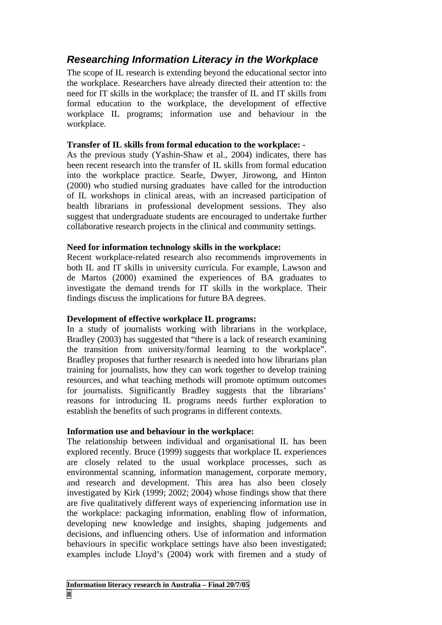## *Researching Information Literacy in the Workplace*

The scope of IL research is extending beyond the educational sector into the workplace. Researchers have already directed their attention to: the need for IT skills in the workplace; the transfer of IL and IT skills from formal education to the workplace, the development of effective workplace IL programs; information use and behaviour in the workplace.

#### **Transfer of IL skills from formal education to the workplace:** -

As the previous study (Yashin-Shaw et al., 2004) indicates, there has been recent research into the transfer of IL skills from formal education into the workplace practice. Searle, Dwyer, Jirowong, and Hinton (2000) who studied nursing graduates have called for the introduction of IL workshops in clinical areas, with an increased participation of health librarians in professional development sessions. They also suggest that undergraduate students are encouraged to undertake further collaborative research projects in the clinical and community settings.

#### **Need for information technology skills in the workplace:**

Recent workplace-related research also recommends improvements in both IL and IT skills in university curricula. For example, Lawson and de Martos (2000) examined the experiences of BA graduates to investigate the demand trends for IT skills in the workplace. Their findings discuss the implications for future BA degrees.

#### **Development of effective workplace IL programs:**

In a study of journalists working with librarians in the workplace, Bradley (2003) has suggested that "there is a lack of research examining the transition from university/formal learning to the workplace". Bradley proposes that further research is needed into how librarians plan training for journalists, how they can work together to develop training resources, and what teaching methods will promote optimum outcomes for journalists. Significantly Bradley suggests that the librarians' reasons for introducing IL programs needs further exploration to establish the benefits of such programs in different contexts.

#### **Information use and behaviour in the workplace:**

The relationship between individual and organisational IL has been explored recently. Bruce (1999) suggests that workplace IL experiences are closely related to the usual workplace processes, such as environmental scanning, information management, corporate memory, and research and development. This area has also been closely investigated by Kirk (1999; 2002; 2004) whose findings show that there are five qualitatively different ways of experiencing information use in the workplace: packaging information, enabling flow of information, developing new knowledge and insights, shaping judgements and decisions, and influencing others. Use of information and information behaviours in specific workplace settings have also been investigated; examples include Lloyd's (2004) work with firemen and a study of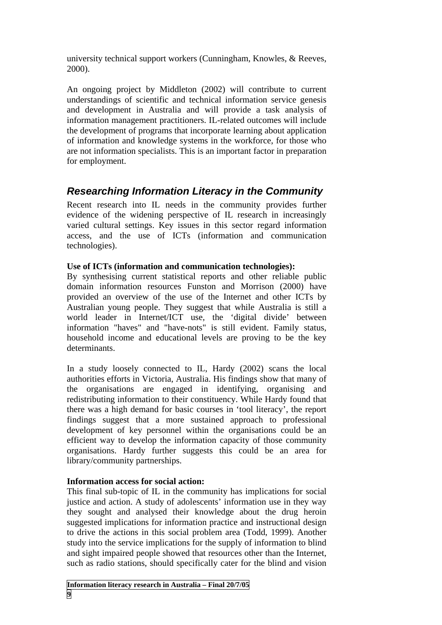university technical support workers (Cunningham, Knowles, & Reeves, 2000).

An ongoing project by Middleton (2002) will contribute to current understandings of scientific and technical information service genesis and development in Australia and will provide a task analysis of information management practitioners. IL-related outcomes will include the development of programs that incorporate learning about application of information and knowledge systems in the workforce, for those who are not information specialists. This is an important factor in preparation for employment.

## *Researching Information Literacy in the Community*

Recent research into IL needs in the community provides further evidence of the widening perspective of IL research in increasingly varied cultural settings. Key issues in this sector regard information access, and the use of ICTs (information and communication technologies).

### **Use of ICTs (information and communication technologies):**

By synthesising current statistical reports and other reliable public domain information resources Funston and Morrison (2000) have provided an overview of the use of the Internet and other ICTs by Australian young people. They suggest that while Australia is still a world leader in Internet/ICT use, the 'digital divide' between information "haves" and "have-nots" is still evident. Family status, household income and educational levels are proving to be the key determinants.

In a study loosely connected to IL, Hardy (2002) scans the local authorities efforts in Victoria, Australia. His findings show that many of the organisations are engaged in identifying, organising and redistributing information to their constituency. While Hardy found that there was a high demand for basic courses in 'tool literacy', the report findings suggest that a more sustained approach to professional development of key personnel within the organisations could be an efficient way to develop the information capacity of those community organisations. Hardy further suggests this could be an area for library/community partnerships.

#### **Information access for social action:**

This final sub-topic of IL in the community has implications for social justice and action. A study of adolescents' information use in they way they sought and analysed their knowledge about the drug heroin suggested implications for information practice and instructional design to drive the actions in this social problem area (Todd, 1999). Another study into the service implications for the supply of information to blind and sight impaired people showed that resources other than the Internet, such as radio stations, should specifically cater for the blind and vision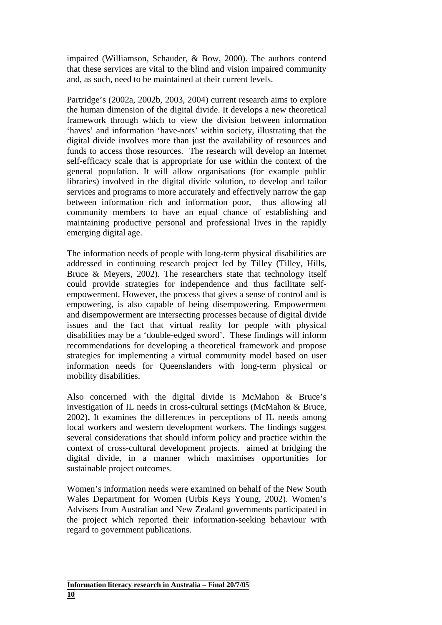impaired (Williamson, Schauder, & Bow, 2000). The authors contend that these services are vital to the blind and vision impaired community and, as such, need to be maintained at their current levels.

Partridge's (2002a, 2002b, 2003, 2004) current research aims to explore the human dimension of the digital divide. It develops a new theoretical framework through which to view the division between information 'haves' and information 'have-nots' within society, illustrating that the digital divide involves more than just the availability of resources and funds to access those resources. The research will develop an Internet self-efficacy scale that is appropriate for use within the context of the general population. It will allow organisations (for example public libraries) involved in the digital divide solution, to develop and tailor services and programs to more accurately and effectively narrow the gap between information rich and information poor, thus allowing all community members to have an equal chance of establishing and maintaining productive personal and professional lives in the rapidly emerging digital age.

The information needs of people with long-term physical disabilities are addressed in continuing research project led by Tilley (Tilley, Hills, Bruce & Meyers, 2002). The researchers state that technology itself could provide strategies for independence and thus facilitate selfempowerment. However, the process that gives a sense of control and is empowering, is also capable of being disempowering. Empowerment and disempowerment are intersecting processes because of digital divide issues and the fact that virtual reality for people with physical disabilities may be a 'double-edged sword'. These findings will inform recommendations for developing a theoretical framework and propose strategies for implementing a virtual community model based on user information needs for Queenslanders with long-term physical or mobility disabilities.

Also concerned with the digital divide is McMahon & Bruce's investigation of IL needs in cross-cultural settings (McMahon & Bruce, 2002)**.** It examines the differences in perceptions of IL needs among local workers and western development workers. The findings suggest several considerations that should inform policy and practice within the context of cross-cultural development projects. aimed at bridging the digital divide, in a manner which maximises opportunities for sustainable project outcomes.

Women's information needs were examined on behalf of the New South Wales Department for Women (Urbis Keys Young, 2002). Women's Advisers from Australian and New Zealand governments participated in the project which reported their information-seeking behaviour with regard to government publications.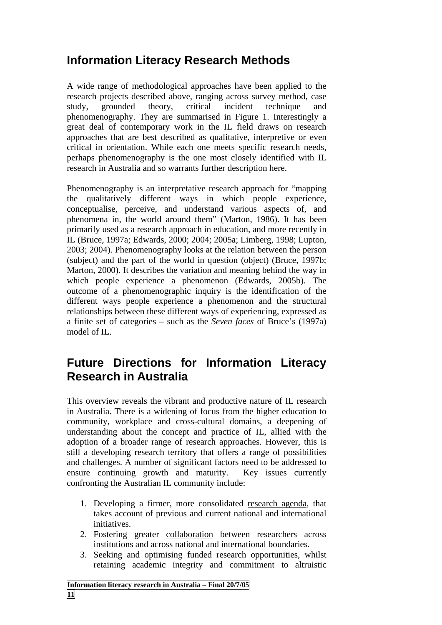# **Information Literacy Research Methods**

A wide range of methodological approaches have been applied to the research projects described above, ranging across survey method, case study, grounded theory, critical incident technique and phenomenography. They are summarised in Figure 1. Interestingly a great deal of contemporary work in the IL field draws on research approaches that are best described as qualitative, interpretive or even critical in orientation. While each one meets specific research needs, perhaps phenomenography is the one most closely identified with IL research in Australia and so warrants further description here.

Phenomenography is an interpretative research approach for "mapping the qualitatively different ways in which people experience, conceptualise, perceive, and understand various aspects of, and phenomena in, the world around them" (Marton, 1986). It has been primarily used as a research approach in education, and more recently in IL (Bruce, 1997a; Edwards, 2000; 2004; 2005a; Limberg, 1998; Lupton, 2003; 2004). Phenomenography looks at the relation between the person (subject) and the part of the world in question (object) (Bruce, 1997b; Marton, 2000). It describes the variation and meaning behind the way in which people experience a phenomenon (Edwards, 2005b). The outcome of a phenomenographic inquiry is the identification of the different ways people experience a phenomenon and the structural relationships between these different ways of experiencing, expressed as a finite set of categories – such as the *Seven faces* of Bruce's (1997a) model of IL.

# **Future Directions for Information Literacy Research in Australia**

This overview reveals the vibrant and productive nature of IL research in Australia. There is a widening of focus from the higher education to community, workplace and cross-cultural domains, a deepening of understanding about the concept and practice of IL, allied with the adoption of a broader range of research approaches. However, this is still a developing research territory that offers a range of possibilities and challenges. A number of significant factors need to be addressed to ensure continuing growth and maturity. Key issues currently confronting the Australian IL community include:

- 1. Developing a firmer, more consolidated research agenda, that takes account of previous and current national and international initiatives.
- 2. Fostering greater collaboration between researchers across institutions and across national and international boundaries.
- 3. Seeking and optimising funded research opportunities, whilst retaining academic integrity and commitment to altruistic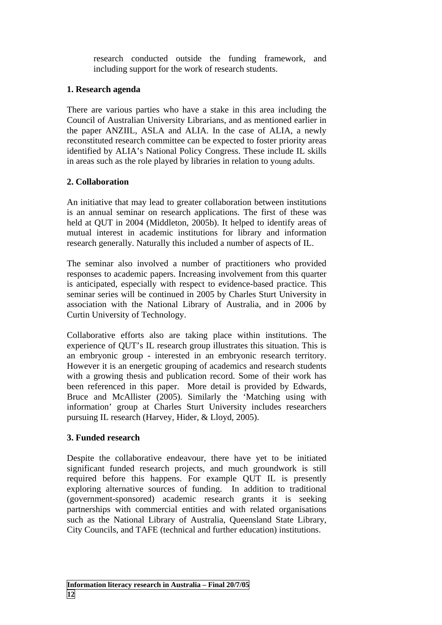research conducted outside the funding framework, and including support for the work of research students.

#### **1. Research agenda**

There are various parties who have a stake in this area including the Council of Australian University Librarians, and as mentioned earlier in the paper ANZIIL, ASLA and ALIA. In the case of ALIA, a newly reconstituted research committee can be expected to foster priority areas identified by ALIA's National Policy Congress. These include IL skills in areas such as the role played by libraries in relation to young adults.

### **2. Collaboration**

An initiative that may lead to greater collaboration between institutions is an annual seminar on research applications. The first of these was held at QUT in 2004 (Middleton, 2005b). It helped to identify areas of mutual interest in academic institutions for library and information research generally. Naturally this included a number of aspects of IL.

The seminar also involved a number of practitioners who provided responses to academic papers. Increasing involvement from this quarter is anticipated, especially with respect to evidence-based practice. This seminar series will be continued in 2005 by Charles Sturt University in association with the National Library of Australia, and in 2006 by Curtin University of Technology.

Collaborative efforts also are taking place within institutions. The experience of QUT's IL research group illustrates this situation. This is an embryonic group - interested in an embryonic research territory. However it is an energetic grouping of academics and research students with a growing thesis and publication record. Some of their work has been referenced in this paper. More detail is provided by Edwards, Bruce and McAllister (2005). Similarly the 'Matching using with information' group at Charles Sturt University includes researchers pursuing IL research (Harvey, Hider, & Lloyd, 2005).

### **3. Funded research**

Despite the collaborative endeavour, there have yet to be initiated significant funded research projects, and much groundwork is still required before this happens. For example QUT IL is presently exploring alternative sources of funding. In addition to traditional (government-sponsored) academic research grants it is seeking partnerships with commercial entities and with related organisations such as the National Library of Australia, Queensland State Library, City Councils, and TAFE (technical and further education) institutions.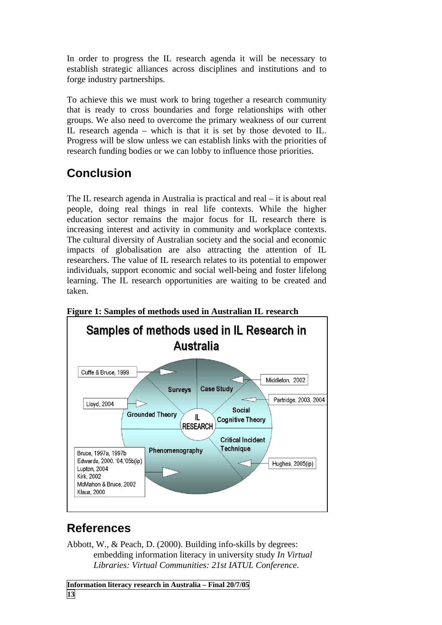In order to progress the IL research agenda it will be necessary to establish strategic alliances across disciplines and institutions and to forge industry partnerships.

To achieve this we must work to bring together a research community that is ready to cross boundaries and forge relationships with other groups. We also need to overcome the primary weakness of our current IL research agenda – which is that it is set by those devoted to IL. Progress will be slow unless we can establish links with the priorities of research funding bodies or we can lobby to influence those priorities.

# **Conclusion**

The IL research agenda in Australia is practical and real – it is about real people, doing real things in real life contexts. While the higher education sector remains the major focus for IL research there is increasing interest and activity in community and workplace contexts. The cultural diversity of Australian society and the social and economic impacts of globalisation are also attracting the attention of IL researchers. The value of IL research relates to its potential to empower individuals, support economic and social well-being and foster lifelong learning. The IL research opportunities are waiting to be created and taken.



### **Figure 1: Samples of methods used in Australian IL research**

# **References**

Abbott, W., & Peach, D. (2000). Building info-skills by degrees: embedding information literacy in university study *In Virtual Libraries: Virtual Communities: 21st IATUL Conference*.

**Information literacy research in Australia – Final 20/7/05 13**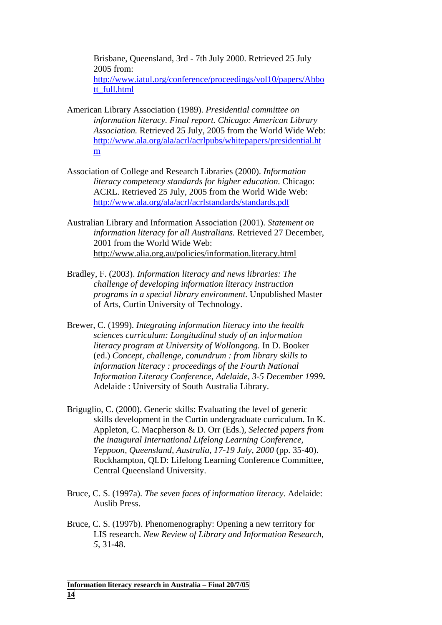Brisbane, Queensland, 3rd - 7th July 2000. Retrieved 25 July 2005 from: [http://www.iatul.org/conference/proceedings/vol10/papers/Abbo](http://www.iatul.org/conference/proceedings/vol10/papers/Abbott_full.html)

- [tt\\_full.html](http://www.iatul.org/conference/proceedings/vol10/papers/Abbott_full.html)
- American Library Association (1989). *Presidential committee on information literacy. Final report. Chicago: American Library Association.* Retrieved 25 July, 2005 from the World Wide Web: [http://www.ala.org/ala/acrl/acrlpubs/whitepapers/presidential.ht](http://www.ala.org/ala/acrl/acrlpubs/whitepapers/presidential.htm) [m](http://www.ala.org/ala/acrl/acrlpubs/whitepapers/presidential.htm)
- Association of College and Research Libraries (2000). *Information literacy competency standards for higher education.* Chicago: ACRL. Retrieved 25 July, 2005 from the World Wide Web: <http://www.ala.org/ala/acrl/acrlstandards/standards.pdf>
- Australian Library and Information Association (2001). *Statement on information literacy for all Australians.* Retrieved 27 December, 2001 from the World Wide Web: [http://www.alia.org.au/policies/information.literacy.html](http://www.alia.org.au/policis/information.literacy.html)
- Bradley, F. (2003). *Information literacy and news libraries: The challenge of developing information literacy instruction programs in a special library environment.* Unpublished Master of Arts, Curtin University of Technology.
- Brewer, C. (1999). *Integrating information literacy into the health sciences curriculum: Longitudinal study of an information literacy program at University of Wollongong.* In D. Booker (ed.) *Concept, challenge, conundrum : from library skills to information literacy : proceedings of the Fourth National Information Literacy Conference, Adelaide, 3-5 December 1999***.**  Adelaide : University of South Australia Library.
- Briguglio, C. (2000). Generic skills: Evaluating the level of generic skills development in the Curtin undergraduate curriculum. In K. Appleton, C. Macpherson & D. Orr (Eds.), *Selected papers from the inaugural International Lifelong Learning Conference, Yeppoon, Queensland, Australia, 17-19 July, 2000* (pp. 35-40). Rockhampton, QLD: Lifelong Learning Conference Committee, Central Queensland University.
- Bruce, C. S. (1997a). *The seven faces of information literacy*. Adelaide: Auslib Press.
- Bruce, C. S. (1997b). Phenomenography: Opening a new territory for LIS research. *New Review of Library and Information Research, 5*, 31-48.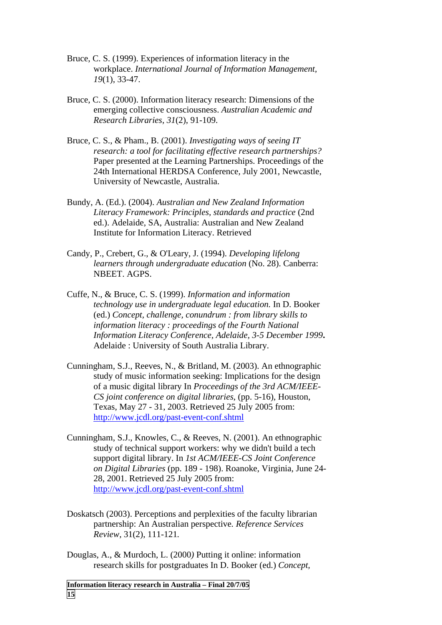- Bruce, C. S. (1999). Experiences of information literacy in the workplace. *International Journal of Information Management, 19*(1), 33-47.
- Bruce, C. S. (2000). Information literacy research: Dimensions of the emerging collective consciousness. *Australian Academic and Research Libraries, 31*(2), 91-109.
- Bruce, C. S., & Pham., B. (2001). *Investigating ways of seeing IT research: a tool for facilitating effective research partnerships?* Paper presented at the Learning Partnerships. Proceedings of the 24th International HERDSA Conference, July 2001, Newcastle, University of Newcastle, Australia.
- Bundy, A. (Ed.). (2004). *Australian and New Zealand Information Literacy Framework: Principles, standards and practice* (2nd ed.). Adelaide, SA, Australia: Australian and New Zealand Institute for Information Literacy. Retrieved
- Candy, P., Crebert, G., & O'Leary, J. (1994). *Developing lifelong learners through undergraduate education* (No. 28). Canberra: NBEET. AGPS.
- Cuffe, N., & Bruce, C. S. (1999). *Information and information technology use in undergraduate legal education.* In D. Booker (ed.) *Concept, challenge, conundrum : from library skills to information literacy : proceedings of the Fourth National Information Literacy Conference, Adelaide, 3-5 December 1999***.**  Adelaide : University of South Australia Library.
- Cunningham, S.J., Reeves, N., & Britland, M. (2003). An ethnographic study of music information seeking: Implications for the design of a music digital library In *Proceedings of the 3rd ACM/IEEE-CS joint conference on digital libraries*, (pp. 5-16), Houston, Texas, May 27 - 31, 2003. Retrieved 25 July 2005 from: <http://www.jcdl.org/past-event-conf.shtml>
- Cunningham, S.J., Knowles, C., & Reeves, N. (2001). An ethnographic study of technical support workers: why we didn't build a tech support digital library. In *1st ACM/IEEE-CS Joint Conference on Digital Libraries* (pp. 189 - 198). Roanoke, Virginia, June 24- 28, 2001. Retrieved 25 July 2005 from: <http://www.jcdl.org/past-event-conf.shtml>
- Doskatsch (2003). Perceptions and perplexities of the faculty librarian partnership: An Australian perspective*. Reference Services Review,* 31(2), 111-121*.*
- Douglas, A., & Murdoch, L. (2000*)* Putting it online: information research skills for postgraduates In D. Booker (ed.) *Concept,*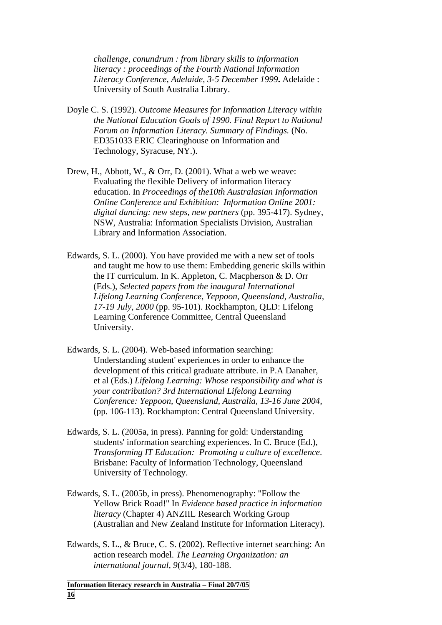*challenge, conundrum : from library skills to information literacy : proceedings of the Fourth National Information Literacy Conference, Adelaide, 3-5 December 1999***.** Adelaide : University of South Australia Library.

- Doyle C. S. (1992). *Outcome Measures for Information Literacy within the National Education Goals of 1990. Final Report to National Forum on Information Literacy. Summary of Findings.* (No. ED351033 ERIC Clearinghouse on Information and Technology, Syracuse, NY.).
- Drew, H., Abbott, W., & Orr, D. (2001). What a web we weave: Evaluating the flexible Delivery of information literacy education. In *Proceedings of the10th Australasian Information Online Conference and Exhibition: Information Online 2001: digital dancing: new steps, new partners* (pp. 395-417). Sydney, NSW, Australia: Information Specialists Division, Australian Library and Information Association.
- Edwards, S. L. (2000). You have provided me with a new set of tools and taught me how to use them: Embedding generic skills within the IT curriculum. In K. Appleton, C. Macpherson & D. Orr (Eds.), *Selected papers from the inaugural International Lifelong Learning Conference, Yeppoon, Queensland, Australia, 17-19 July, 2000* (pp. 95-101). Rockhampton, QLD: Lifelong Learning Conference Committee, Central Queensland University.
- Edwards, S. L. (2004). Web-based information searching: Understanding student' experiences in order to enhance the development of this critical graduate attribute. in P.A Danaher, et al (Eds.) *Lifelong Learning: Whose responsibility and what is your contribution? 3rd International Lifelong Learning Conference: Yeppoon, Queensland, Australia, 13-16 June 2004*, (pp. 106-113). Rockhampton: Central Queensland University.
- Edwards, S. L. (2005a, in press). Panning for gold: Understanding students' information searching experiences. In C. Bruce (Ed.), *Transforming IT Education: Promoting a culture of excellence*. Brisbane: Faculty of Information Technology, Queensland University of Technology.
- Edwards, S. L. (2005b, in press). Phenomenography: "Follow the Yellow Brick Road!" In *Evidence based practice in information literacy* (Chapter 4) ANZIIL Research Working Group (Australian and New Zealand Institute for Information Literacy).
- Edwards, S. L., & Bruce, C. S. (2002). Reflective internet searching: An action research model. *The Learning Organization: an international journal, 9*(3/4), 180-188.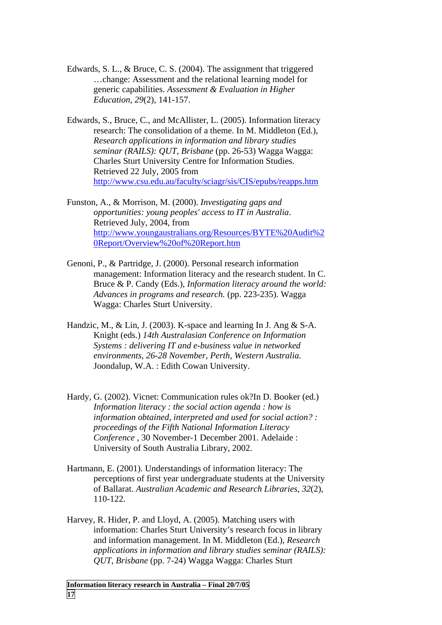- Edwards, S. L., & Bruce, C. S. (2004). The assignment that triggered …change: Assessment and the relational learning model for generic capabilities. *Assessment & Evaluation in Higher Education, 29*(2), 141-157.
- Edwards, S., Bruce, C., and McAllister, L. (2005). Information literacy research: The consolidation of a theme. In M. Middleton (Ed.), *Research applications in information and library studies seminar (RAILS): QUT, Brisbane* (pp. 26-53) Wagga Wagga: Charles Sturt University Centre for Information Studies. Retrieved 22 July, 2005 from <http://www.csu.edu.au/faculty/sciagr/sis/CIS/epubs/reapps.htm>
- Funston, A., & Morrison, M. (2000). *Investigating gaps and opportunities: young peoples' access to IT in Australia*. Retrieved July, 2004, from [http://www.youngaustralians.org/Resources/BYTE%20Audit%2](http://www.youngaustralians.org/Resources/BYTE Audit Report/Overview of Report.htm) [0Report/Overview%20of%20Report.htm](http://www.youngaustralians.org/Resources/BYTE Audit Report/Overview of Report.htm)
- Genoni, P., & Partridge, J. (2000). Personal research information management: Information literacy and the research student. In C. Bruce & P. Candy (Eds.), *Information literacy around the world: Advances in programs and research.* (pp. 223-235). Wagga Wagga: Charles Sturt University.
- Handzic, M., & Lin, J. (2003). K-space and learning In J. Ang & S-A. Knight (eds.) *14th Australasian Conference on Information Systems : delivering IT and e-business value in networked environments, 26-28 November, Perth, Western Australia.*  Joondalup, W.A. : Edith Cowan University.
- Hardy, G. (2002). Vicnet: Communication rules ok?In D. Booker (ed.) *Information literacy : the social action agenda : how is information obtained, interpreted and used for social action? : proceedings of the Fifth National Information Literacy Conference* , 30 November-1 December 2001. Adelaide : University of South Australia Library, 2002.
- Hartmann, E. (2001). Understandings of information literacy: The perceptions of first year undergraduate students at the University of Ballarat. *Australian Academic and Research Libraries, 32*(2), 110-122.
- Harvey, R. Hider, P. and Lloyd, A. (2005). Matching users with information: Charles Sturt University's research focus in library and information management. In M. Middleton (Ed.), *Research applications in information and library studies seminar (RAILS): QUT, Brisbane* (pp. 7-24) Wagga Wagga: Charles Sturt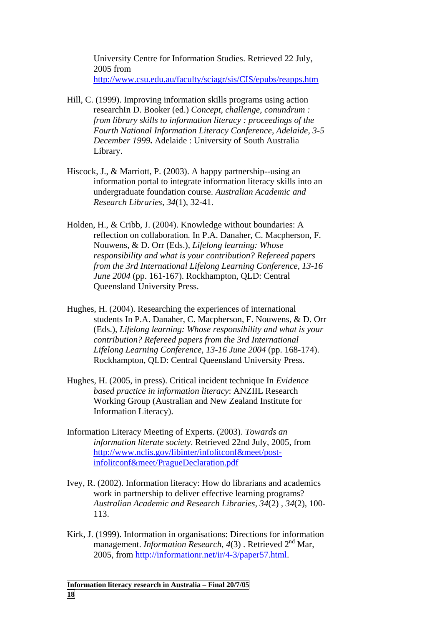University Centre for Information Studies. Retrieved 22 July, 2005 from <http://www.csu.edu.au/faculty/sciagr/sis/CIS/epubs/reapps.htm>

- Hill, C. (1999). Improving information skills programs using action researchIn D. Booker (ed.) *Concept, challenge, conundrum : from library skills to information literacy : proceedings of the Fourth National Information Literacy Conference, Adelaide, 3-5 December 1999***.** Adelaide : University of South Australia Library.
- Hiscock, J., & Marriott, P. (2003). A happy partnership--using an information portal to integrate information literacy skills into an undergraduate foundation course. *Australian Academic and Research Libraries, 34*(1), 32-41.
- Holden, H., & Cribb, J. (2004). Knowledge without boundaries: A reflection on collaboration*.* In P.A. Danaher, C. Macpherson, F. Nouwens, & D. Orr (Eds.), *Lifelong learning: Whose responsibility and what is your contribution? Refereed papers from the 3rd International Lifelong Learning Conference, 13-16 June 2004* (pp. 161-167). Rockhampton, QLD: Central Queensland University Press.
- Hughes, H. (2004). Researching the experiences of international students In P.A. Danaher, C. Macpherson, F. Nouwens, & D. Orr (Eds.), *Lifelong learning: Whose responsibility and what is your contribution? Refereed papers from the 3rd International Lifelong Learning Conference, 13-16 June 2004* (pp. 168-174). Rockhampton, QLD: Central Queensland University Press.
- Hughes, H. (2005, in press). Critical incident technique In *Evidence based practice in information literacy*: ANZIIL Research Working Group (Australian and New Zealand Institute for Information Literacy).
- Information Literacy Meeting of Experts. (2003). *Towards an information literate society*. Retrieved 22nd July, 2005, from [http://www.nclis.gov/libinter/infolitconf&meet/post](http://www.nclis.gov/libinter/infolitconf&meet/post-infolitconf&meet/PragueDeclaration.pdf)[infolitconf&meet/PragueDeclaration.pdf](http://www.nclis.gov/libinter/infolitconf&meet/post-infolitconf&meet/PragueDeclaration.pdf)
- Ivey, R. (2002). Information literacy: How do librarians and academics work in partnership to deliver effective learning programs? *Australian Academic and Research Libraries, 34*(2) *, 34*(2), 100- 113.
- Kirk, J. (1999). Information in organisations: Directions for information management. *Information Research, 4*(3) . Retrieved 2nd Mar, 2005, from <http://informationr.net/ir/4-3/paper57.html>.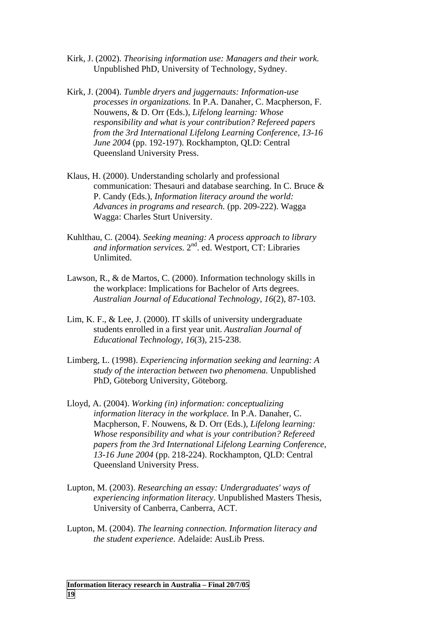- Kirk, J. (2002). *Theorising information use: Managers and their work.* Unpublished PhD, University of Technology, Sydney.
- Kirk, J. (2004). *Tumble dryers and juggernauts: Information-use processes in organizations.* In P.A. Danaher, C. Macpherson, F. Nouwens, & D. Orr (Eds.), *Lifelong learning: Whose responsibility and what is your contribution? Refereed papers from the 3rd International Lifelong Learning Conference, 13-16 June 2004* (pp. 192-197). Rockhampton, QLD: Central Queensland University Press.
- Klaus, H. (2000). Understanding scholarly and professional communication: Thesauri and database searching. In C. Bruce & P. Candy (Eds.), *Information literacy around the world: Advances in programs and research.* (pp. 209-222). Wagga Wagga: Charles Sturt University.
- Kuhlthau, C. (2004). *Seeking meaning: A process approach to library*  and information services. 2<sup>nd</sup>. ed. Westport, CT: Libraries Unlimited.
- Lawson, R., & de Martos, C. (2000). Information technology skills in the workplace: Implications for Bachelor of Arts degrees. *Australian Journal of Educational Technology, 16*(2), 87-103.
- Lim, K. F., & Lee, J. (2000). IT skills of university undergraduate students enrolled in a first year unit. *Australian Journal of Educational Technology, 16*(3), 215-238.
- Limberg, L. (1998). *Experiencing information seeking and learning: A study of the interaction between two phenomena.* Unpublished PhD, Göteborg University, Göteborg.
- Lloyd, A. (2004). *Working (in) information: conceptualizing information literacy in the workplace.* In P.A. Danaher, C. Macpherson, F. Nouwens, & D. Orr (Eds.), *Lifelong learning: Whose responsibility and what is your contribution? Refereed papers from the 3rd International Lifelong Learning Conference, 13-16 June 2004* (pp. 218-224). Rockhampton, QLD: Central Queensland University Press.
- Lupton, M. (2003). *Researching an essay: Undergraduates' ways of experiencing information literacy.* Unpublished Masters Thesis, University of Canberra, Canberra, ACT.
- Lupton, M. (2004). *The learning connection. Information literacy and the student experience.* Adelaide: AusLib Press.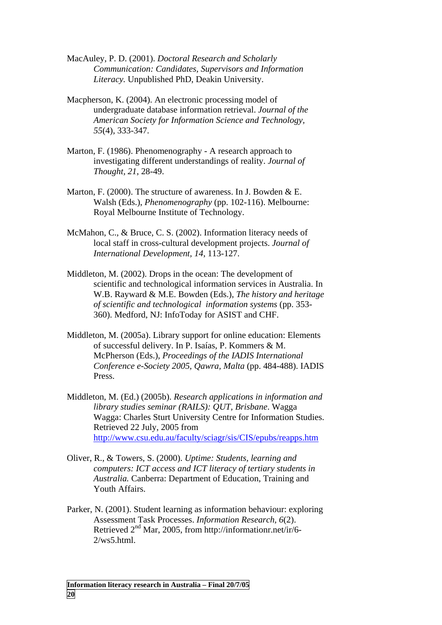- MacAuley, P. D. (2001). *Doctoral Research and Scholarly Communication: Candidates, Supervisors and Information Literacy.* Unpublished PhD, Deakin University.
- Macpherson, K. (2004). An electronic processing model of undergraduate database information retrieval. *Journal of the American Society for Information Science and Technology, 55*(4), 333-347.
- Marton, F. (1986). Phenomenography A research approach to investigating different understandings of reality. *Journal of Thought, 21*, 28-49.
- Marton, F. (2000). The structure of awareness. In J. Bowden & E. Walsh (Eds.), *Phenomenography* (pp. 102-116). Melbourne: Royal Melbourne Institute of Technology.
- McMahon, C., & Bruce, C. S. (2002). Information literacy needs of local staff in cross-cultural development projects. *Journal of International Development, 14*, 113-127.
- Middleton, M. (2002). Drops in the ocean: The development of scientific and technological information services in Australia. In W.B. Rayward & M.E. Bowden (Eds.), *The history and heritage of scientific and technological information systems* (pp. 353- 360). Medford, NJ: InfoToday for ASIST and CHF.
- Middleton, M. (2005a). Library support for online education: Elements of successful delivery. In P. Isaías, P. Kommers & M. McPherson (Eds.), *Proceedings of the IADIS International Conference e-Society 2005, Qawra, Malta* (pp. 484-488). IADIS Press.
- Middleton, M. (Ed.) (2005b). *Research applications in information and library studies seminar (RAILS): QUT, Brisbane*. Wagga Wagga: Charles Sturt University Centre for Information Studies. Retrieved 22 July, 2005 from <http://www.csu.edu.au/faculty/sciagr/sis/CIS/epubs/reapps.htm>
- Oliver, R., & Towers, S. (2000). *Uptime: Students, learning and computers: ICT access and ICT literacy of tertiary students in Australia.* Canberra: Department of Education, Training and Youth Affairs.
- Parker, N. (2001). Student learning as information behaviour: exploring Assessment Task Processes. *Information Research, 6*(2). Retrieved 2nd Mar, 2005, from [http://informationr.net/ir/6-](http://informationr.net/ir/6-2/ws5.html) [2/ws5.html.](http://informationr.net/ir/6-2/ws5.html)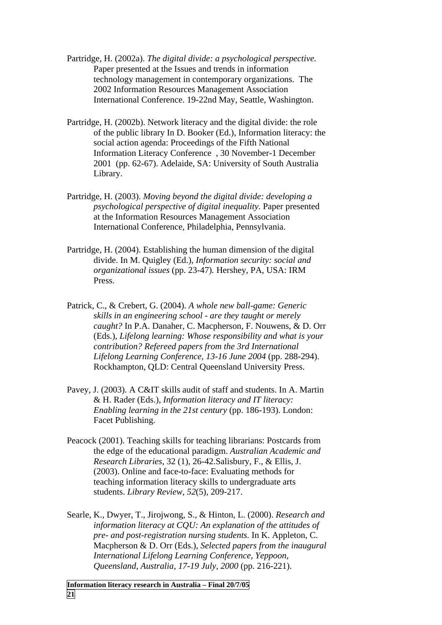- Partridge, H. (2002a). *The digital divide: a psychological perspective.* Paper presented at the Issues and trends in information technology management in contemporary organizations. The 2002 Information Resources Management Association International Conference. 19-22nd May, Seattle, Washington.
- Partridge, H. (2002b). Network literacy and the digital divide: the role of the public library In D. Booker (Ed.), Information literacy: the social action agenda: Proceedings of the Fifth National Information Literacy Conference , 30 November-1 December 2001 (pp. 62-67). Adelaide, SA: University of South Australia Library.
- Partridge, H. (2003). *Moving beyond the digital divide: developing a psychological perspective of digital inequality.* Paper presented at the Information Resources Management Association International Conference, Philadelphia, Pennsylvania.
- Partridge, H. (2004). Establishing the human dimension of the digital divide. In M. Quigley (Ed.), *Information security: social and organizational issues* (pp. 23-47)*.* Hershey, PA, USA: IRM Press.
- Patrick, C., & Crebert, G. (2004). *A whole new ball-game: Generic skills in an engineering school - are they taught or merely caught?* In P.A. Danaher, C. Macpherson, F. Nouwens, & D. Orr (Eds.), *Lifelong learning: Whose responsibility and what is your contribution? Refereed papers from the 3rd International Lifelong Learning Conference, 13-16 June 2004* (pp. 288-294). Rockhampton, QLD: Central Queensland University Press.
- Pavey, J. (2003). A C&IT skills audit of staff and students. In A. Martin & H. Rader (Eds.), *Information literacy and IT literacy: Enabling learning in the 21st century* (pp. 186-193). London: Facet Publishing.
- Peacock (2001). Teaching skills for teaching librarians: Postcards from the edge of the educational paradigm. *Australian Academic and Research Libraries*, 32 (1), 26-42.Salisbury, F., & Ellis, J. (2003). Online and face-to-face: Evaluating methods for teaching information literacy skills to undergraduate arts students. *Library Review, 52*(5), 209-217.
- Searle, K., Dwyer, T., Jirojwong, S., & Hinton, L. (2000). *Research and information literacy at CQU: An explanation of the attitudes of pre- and post-registration nursing students.* In K. Appleton, C. Macpherson & D. Orr (Eds.), *Selected papers from the inaugural International Lifelong Learning Conference, Yeppoon, Queensland, Australia, 17-19 July, 2000* (pp. 216-221).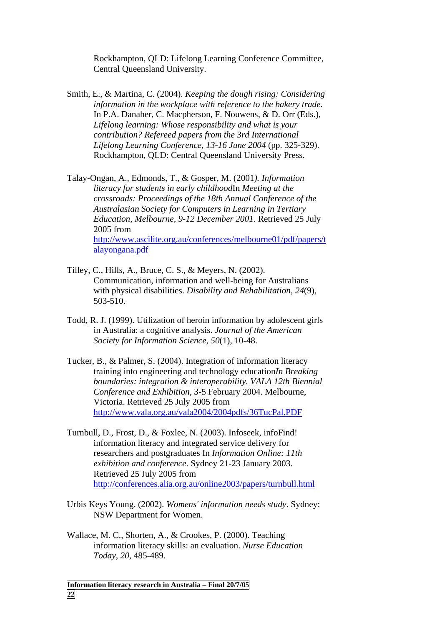Rockhampton, QLD: Lifelong Learning Conference Committee, Central Queensland University.

- Smith, E., & Martina, C. (2004). *Keeping the dough rising: Considering information in the workplace with reference to the bakery trade.* In P.A. Danaher, C. Macpherson, F. Nouwens, & D. Orr (Eds.), *Lifelong learning: Whose responsibility and what is your contribution? Refereed papers from the 3rd International Lifelong Learning Conference, 13-16 June 2004* (pp. 325-329). Rockhampton, QLD: Central Queensland University Press.
- Talay-Ongan, A., Edmonds, T., & Gosper, M. (2001*). Information literacy for students in early childhood*In *Meeting at the crossroads: Proceedings of the 18th Annual Conference of the Australasian Society for Computers in Learning in Tertiary Education, Melbourne, 9-12 December 2001*. Retrieved 25 July 2005 from [http://www.ascilite.org.au/conferences/melbourne01/pdf/papers/t](http://www.ascilite.org.au/conferences/melbourne01/pdf/papers/talayongana.pdf) [alayongana.pdf](http://www.ascilite.org.au/conferences/melbourne01/pdf/papers/talayongana.pdf)
- Tilley, C., Hills, A., Bruce, C. S., & Meyers, N. (2002). Communication, information and well-being for Australians with physical disabilities. *Disability and Rehabilitation, 24*(9), 503-510.
- Todd, R. J. (1999). Utilization of heroin information by adolescent girls in Australia: a cognitive analysis. *Journal of the American Society for Information Science, 50*(1), 10-48.
- Tucker, B., & Palmer, S. (2004). Integration of information literacy training into engineering and technology education*In Breaking boundaries: integration & interoperability. VALA 12th Biennial Conference and Exhibition*, 3-5 February 2004. Melbourne, Victoria. Retrieved 25 July 2005 from <http://www.vala.org.au/vala2004/2004pdfs/36TucPal.PDF>
- Turnbull, D., Frost, D., & Foxlee, N. (2003). Infoseek, infoFind! information literacy and integrated service delivery for researchers and postgraduates In *Information Online: 11th exhibition and conference*. Sydney 21-23 January 2003. Retrieved 25 July 2005 from <http://conferences.alia.org.au/online2003/papers/turnbull.html>
- Urbis Keys Young. (2002). *Womens' information needs study*. Sydney: NSW Department for Women.
- Wallace, M. C., Shorten, A., & Crookes, P. (2000). Teaching information literacy skills: an evaluation. *Nurse Education Today, 20*, 485-489.